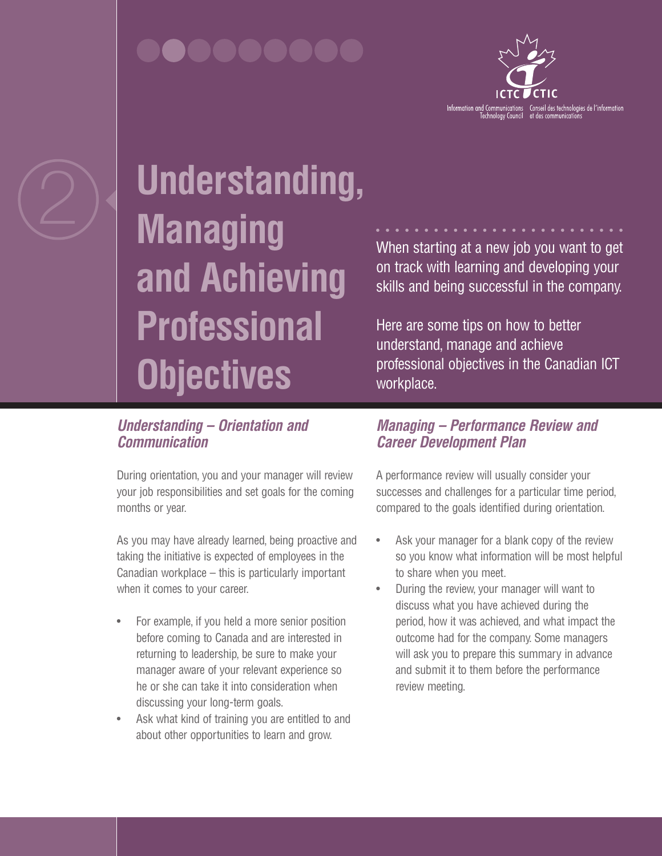

# 2 **Understanding, Managing and Achieving Professional Objectives**

## When starting at a new job you want to get on track with learning and developing your skills and being successful in the company.

Here are some tips on how to better understand, manage and achieve professional objectives in the Canadian ICT workplace.

### *Understanding – Orientation and Communication*

During orientation, you and your manager will review your job responsibilities and set goals for the coming months or year.

As you may have already learned, being proactive and taking the initiative is expected of employees in the Canadian workplace – this is particularly important when it comes to your career.

- For example, if you held a more senior position before coming to Canada and are interested in returning to leadership, be sure to make your manager aware of your relevant experience so he or she can take it into consideration when discussing your long-term goals.
- Ask what kind of training you are entitled to and about other opportunities to learn and grow.

### *Managing – Performance Review and Career Development Plan*

A performance review will usually consider your successes and challenges for a particular time period, compared to the goals identified during orientation.

- Ask your manager for a blank copy of the review so you know what information will be most helpful to share when you meet.
- During the review, your manager will want to discuss what you have achieved during the period, how it was achieved, and what impact the outcome had for the company. Some managers will ask you to prepare this summary in advance and submit it to them before the performance review meeting.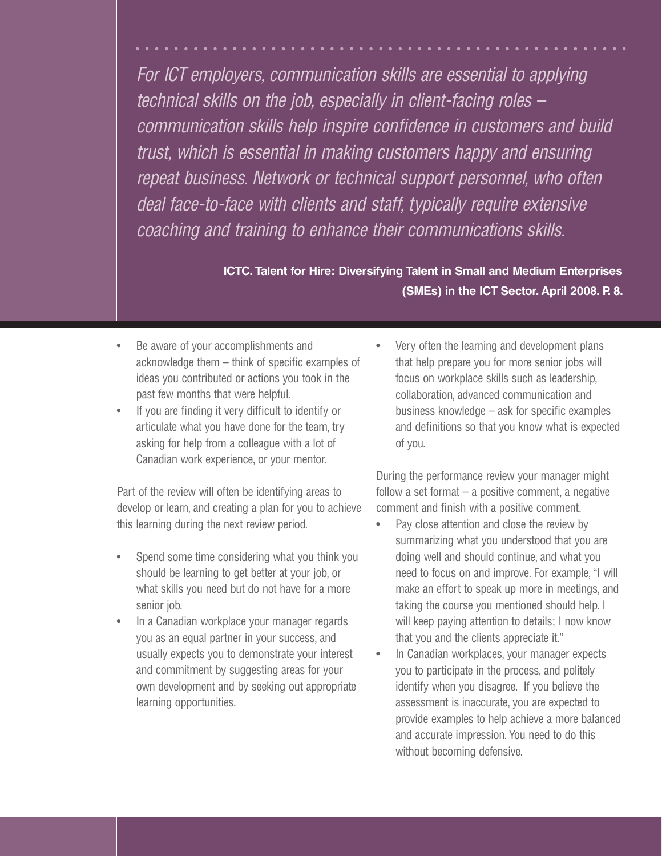*For ICT employers, communication skills are essential to applying technical skills on the job, especially in client-facing roles – communication skills help inspire confidence in customers and build trust, which is essential in making customers happy and ensuring repeat business. Network or technical support personnel, who often deal face-to-face with clients and staff, typically require extensive coaching and training to enhance their communications skills.*

> **ICTC. Talent for Hire: Diversifying Talent in Small and Medium Enterprises (SMEs) in the ICT Sector. April 2008. P. 8.**

- Be aware of your accomplishments and acknowledge them – think of specific examples of ideas you contributed or actions you took in the past few months that were helpful.
- If you are finding it very difficult to identify or articulate what you have done for the team, try asking for help from a colleague with a lot of Canadian work experience, or your mentor.

Part of the review will often be identifying areas to develop or learn, and creating a plan for you to achieve this learning during the next review period.

- Spend some time considering what you think you should be learning to get better at your job, or what skills you need but do not have for a more senior job.
- In a Canadian workplace your manager regards you as an equal partner in your success, and usually expects you to demonstrate your interest and commitment by suggesting areas for your own development and by seeking out appropriate learning opportunities.

Very often the learning and development plans that help prepare you for more senior jobs will focus on workplace skills such as leadership, collaboration, advanced communication and business knowledge – ask for specific examples and definitions so that you know what is expected of you.

During the performance review your manager might follow a set format – a positive comment, a negative comment and finish with a positive comment.

- Pay close attention and close the review by summarizing what you understood that you are doing well and should continue, and what you need to focus on and improve. For example, "I will make an effort to speak up more in meetings, and taking the course you mentioned should help. I will keep paying attention to details; I now know that you and the clients appreciate it."
- In Canadian workplaces, your manager expects you to participate in the process, and politely identify when you disagree. If you believe the assessment is inaccurate, you are expected to provide examples to help achieve a more balanced and accurate impression. You need to do this without becoming defensive.